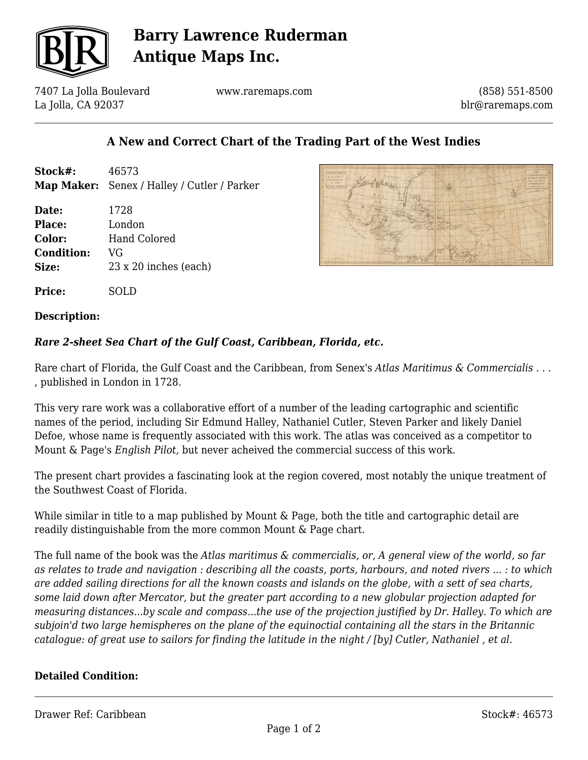

## **Barry Lawrence Ruderman Antique Maps Inc.**

7407 La Jolla Boulevard La Jolla, CA 92037

www.raremaps.com

(858) 551-8500 blr@raremaps.com

### **A New and Correct Chart of the Trading Part of the West Indies**

| Stock#: | 46573                                              |
|---------|----------------------------------------------------|
|         | <b>Map Maker:</b> Senex / Halley / Cutler / Parker |

**Date:** 1728 **Place:** London **Color:** Hand Colored **Condition:** VG **Size:** 23 x 20 inches (each)



## **Description:**

**Price:** SOLD

#### *Rare 2-sheet Sea Chart of the Gulf Coast, Caribbean, Florida, etc.*

Rare chart of Florida, the Gulf Coast and the Caribbean, from Senex's *Atlas Maritimus & Commercialis . . .* , published in London in 1728.

This very rare work was a collaborative effort of a number of the leading cartographic and scientific names of the period, including Sir Edmund Halley, Nathaniel Cutler, Steven Parker and likely Daniel Defoe, whose name is frequently associated with this work. The atlas was conceived as a competitor to Mount & Page's *English Pilot,* but never acheived the commercial success of this work.

The present chart provides a fascinating look at the region covered, most notably the unique treatment of the Southwest Coast of Florida.

While similar in title to a map published by Mount & Page, both the title and cartographic detail are readily distinguishable from the more common Mount & Page chart.

The full name of the book was the *Atlas maritimus & commercialis, or, A general view of the world, so far as relates to trade and navigation : describing all the coasts, ports, harbours, and noted rivers ... : to which are added sailing directions for all the known coasts and islands on the globe, with a sett of sea charts, some laid down after Mercator, but the greater part according to a new globular projection adapted for measuring distances...by scale and compass...the use of the projection justified by Dr. Halley. To which are subjoin'd two large hemispheres on the plane of the equinoctial containing all the stars in the Britannic catalogue: of great use to sailors for finding the latitude in the night / [by] Cutler, Nathaniel , et al.*

#### **Detailed Condition:**